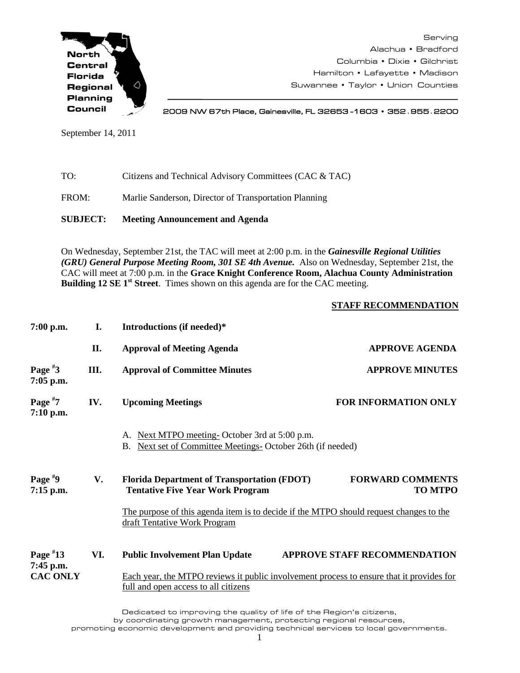

Serving Alachua • Bradford Columbia • Dixie • Gilchrist Hamilton • Lafayette • Madison Suwannee • Taylor • Union Counties

2009 NW 67th Place, Gainesville, FL 32653 -1603 • 352**.**955**.**2200

September 14, 2011

| TO: | Citizens and Technical Advisory Committees (CAC & TAC) |
|-----|--------------------------------------------------------|
|     |                                                        |

FROM: Marlie Sanderson, Director of Transportation Planning

**SUBJECT: Meeting Announcement and Agenda**

On Wednesday, September 21st, the TAC will meet at 2:00 p.m. in the *Gainesville Regional Utilities (GRU) General Purpose Meeting Room, 301 SE 4th Avenue.* Also on Wednesday, September 21st, the CAC will meet at 7:00 p.m. in the **Grace Knight Conference Room, Alachua County Administration Building 12 SE 1st Street**. Times shown on this agenda are for the CAC meeting.

## **STAFF RECOMMENDATION**

| $7:00$ p.m.              | I.  | Introductions (if needed)*                                                                                                              |                                           |  |  |
|--------------------------|-----|-----------------------------------------------------------------------------------------------------------------------------------------|-------------------------------------------|--|--|
|                          | II. | <b>Approval of Meeting Agenda</b>                                                                                                       | <b>APPROVE AGENDA</b>                     |  |  |
| Page $*3$<br>$7:05$ p.m. | Ш.  | <b>Approval of Committee Minutes</b>                                                                                                    | <b>APPROVE MINUTES</b>                    |  |  |
| Page $*7$<br>$7:10$ p.m. | IV. | <b>Upcoming Meetings</b>                                                                                                                | <b>FOR INFORMATION ONLY</b>               |  |  |
|                          |     | A. Next MTPO meeting-October 3rd at 5:00 p.m.<br>Next set of Committee Meetings- October 26th (if needed)<br>В.                         |                                           |  |  |
| Page $*9$<br>7:15 p.m.   | V.  | <b>Florida Department of Transportation (FDOT)</b><br><b>Tentative Five Year Work Program</b>                                           | <b>FORWARD COMMENTS</b><br><b>TO MTPO</b> |  |  |
|                          |     | The purpose of this agenda item is to decide if the MTPO should request changes to the<br>draft Tentative Work Program                  |                                           |  |  |
| Page $*13$<br>7:45 p.m.  | VI. | <b>Public Involvement Plan Update</b>                                                                                                   | <b>APPROVE STAFF RECOMMENDATION</b>       |  |  |
| <b>CAC ONLY</b>          |     | Each year, the MTPO reviews it public involvement process to ensure that it provides for<br><u>full and open access to all citizens</u> |                                           |  |  |